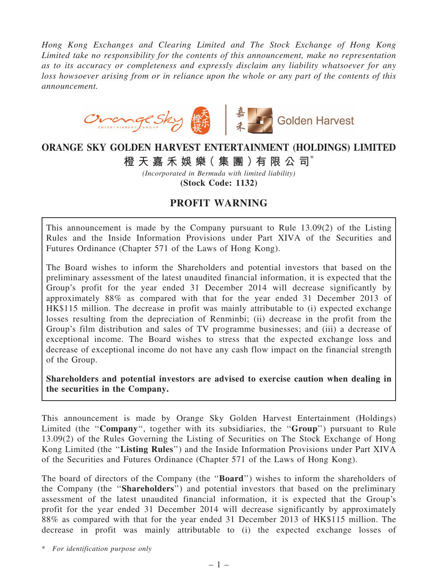*Hong Kong Exchanges and Clearing Limited and The Stock Exchange of Hong Kong Limited take no responsibility for the contents of this announcement, make no representation as to its accuracy or completeness and expressly disclaim any liability whatsoever for any loss howsoever arising from or in reliance upon the whole or any part of the contents of this announcement.*



## ORANGE SKY GOLDEN HARVEST ENTERTAINMENT (HOLDINGS) LIMITED

橙 天 嘉 禾 娛 樂( 集 團 )有 限 公 司\*

*(Incorporated in Bermuda with limited liability)* (Stock Code: 1132)

## PROFIT WARNING

This announcement is made by the Company pursuant to Rule 13.09(2) of the Listing Rules and the Inside Information Provisions under Part XIVA of the Securities and Futures Ordinance (Chapter 571 of the Laws of Hong Kong).

The Board wishes to inform the Shareholders and potential investors that based on the preliminary assessment of the latest unaudited financial information, it is expected that the Group's profit for the year ended 31 December 2014 will decrease significantly by approximately 88% as compared with that for the year ended 31 December 2013 of HK\$115 million. The decrease in profit was mainly attributable to (i) expected exchange losses resulting from the depreciation of Renminbi; (ii) decrease in the profit from the Group's film distribution and sales of TV programme businesses; and (iii) a decrease of exceptional income. The Board wishes to stress that the expected exchange loss and decrease of exceptional income do not have any cash flow impact on the financial strength of the Group.

Shareholders and potential investors are advised to exercise caution when dealing in the securities in the Company.

This announcement is made by Orange Sky Golden Harvest Entertainment (Holdings) Limited (the "Company", together with its subsidiaries, the "Group") pursuant to Rule 13.09(2) of the Rules Governing the Listing of Securities on The Stock Exchange of Hong Kong Limited (the ''Listing Rules'') and the Inside Information Provisions under Part XIVA of the Securities and Futures Ordinance (Chapter 571 of the Laws of Hong Kong).

The board of directors of the Company (the ''Board'') wishes to inform the shareholders of the Company (the ''Shareholders'') and potential investors that based on the preliminary assessment of the latest unaudited financial information, it is expected that the Group's profit for the year ended 31 December 2014 will decrease significantly by approximately 88% as compared with that for the year ended 31 December 2013 of HK\$115 million. The decrease in profit was mainly attributable to (i) the expected exchange losses of

\* *For identification purpose only*